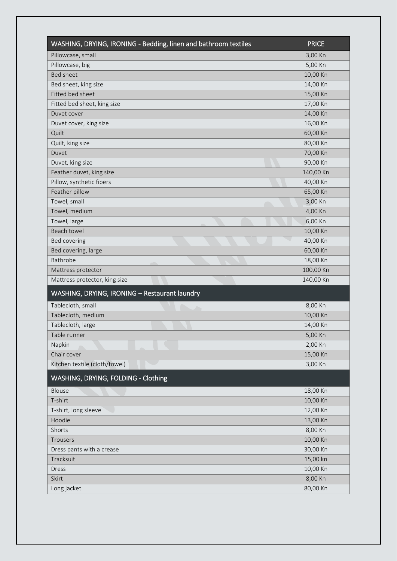| WASHING, DRYING, IRONING - Bedding, linen and bathroom textiles | <b>PRICE</b> |
|-----------------------------------------------------------------|--------------|
| Pillowcase, small                                               | 3,00 Kn      |
| Pillowcase, big                                                 | 5,00 Kn      |
| <b>Bed sheet</b>                                                | 10,00 Kn     |
| Bed sheet, king size                                            | 14,00 Kn     |
| Fitted bed sheet                                                | 15,00 Kn     |
| Fitted bed sheet, king size                                     | 17,00 Kn     |
| Duvet cover                                                     | 14,00 Kn     |
| Duvet cover, king size                                          | 16,00 Kn     |
| Quilt                                                           | 60,00 Kn     |
| Quilt, king size                                                | 80,00 Kn     |
| Duvet                                                           | 70,00 Kn     |
| Duvet, king size                                                | 90,00 Kn     |
| Feather duvet, king size                                        | 140,00 Kn    |
| Pillow, synthetic fibers                                        | 40,00 Kn     |
| Feather pillow                                                  | 65,00 Kn     |
| Towel, small                                                    | 3,00 Kn      |
| Towel, medium                                                   | 4,00 Kn      |
| Towel, large                                                    | 6,00 Kn      |
| Beach towel                                                     | 10,00 Kn     |
| Bed covering                                                    | 40,00 Kn     |
| Bed covering, large                                             | 60,00 Kn     |
| Bathrobe                                                        | 18,00 Kn     |
| Mattress protector                                              | 100,00 Kn    |
| Mattress protector, king size                                   | 140,00 Kn    |
| WASHING, DRYING, IRONING - Restaurant laundry                   |              |
| Tablecloth, small<br>∕                                          | 8,00 Kn      |
| Tablecloth, medium                                              | 10,00 Kn     |
| Tablecloth, large                                               | 14,00 Kn     |
| Table runner                                                    | 5,00 Kn      |
| Napkin                                                          | 2,00 Kn      |
| Chair cover                                                     | 15,00 Kn     |
| Kitchen textile (cloth/towel)                                   | 3,00 Kn      |
| WASHING, DRYING, FOLDING - Clothing                             |              |
| Blouse                                                          | 18,00 Kn     |
| T-shirt                                                         | 10,00 Kn     |
| T-shirt, long sleeve                                            | 12,00 Kn     |
| Hoodie                                                          | 13,00 Kn     |
| Shorts                                                          | 8,00 Kn      |
| Trousers                                                        | 10,00 Kn     |
| Dress pants with a crease                                       | 30,00 Kn     |
| Tracksuit                                                       | 15,00 kn     |
| Dress                                                           | 10,00 Kn     |
| Skirt                                                           | 8,00 Kn      |
| Long jacket                                                     | 80,00 Kn     |